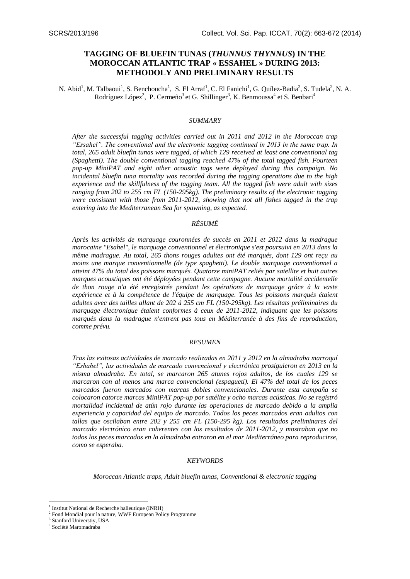# **TAGGING OF BLUEFIN TUNAS (***THUNNUS THYNNUS***) IN THE MOROCCAN ATLANTIC TRAP « ESSAHEL » DURING 2013: METHODOLY AND PRELIMINARY RESULTS**

N. Abid<sup>1</sup>, M. Talbaoui<sup>1</sup>, S. Benchoucha<sup>1</sup>, S. El Arraf<sup>1</sup>, C. El Fanichi<sup>1</sup>, G. Quílez-Badia<sup>2</sup>, S. Tudela<sup>2</sup>, N. A. Rodríguez López<sup>2</sup>, P. Cermeño<sup>3</sup> et G. Shillinger<sup>3</sup>, K. Benmoussa<sup>4</sup> et S. Benbari<sup>4</sup>

#### *SUMMARY*

*After the successful tagging activities carried out in 2011 and 2012 in the Moroccan trap "Essahel". The conventional and the electronic tagging continued in 2013 in the same trap. In total, 265 adult bluefin tunas were tagged, of which 129 received at least one conventional tag (Spaghetti). The double conventional tagging reached 47% of the total tagged fish. Fourteen pop-up MiniPAT and eight other acoustic tags were deployed during this campaign. No incidental bluefin tuna mortality was recorded during the tagging operations due to the high experience and the skillfulness of the tagging team. All the tagged fish were adult with sizes ranging from 202 to 255 cm FL (150-295kg). The preliminary results of the electronic tagging were consistent with those from 2011-2012, showing that not all fishes tagged in the trap entering into the Mediterranean Sea for spawning, as expected.* 

# *RÉSUMÉ*

*Après les activités de marquage couronnées de succès en 2011 et 2012 dans la madrague marocaine "Esahel", le marquage conventionnel et électronique s'est poursuivi en 2013 dans la même madrague. Au total, 265 thons rouges adultes ont été marqués, dont 129 ont reçu au moins une marque conventionnelle (de type spaghetti). Le double marquage conventionnel a atteint 47% du total des poissons marqués. Quatorze miniPAT reliés par satellite et huit autres marques acoustiques ont été déployées pendant cette campagne. Aucune mortalité accidentelle de thon rouge n'a été enregistrée pendant les opérations de marquage grâce à la vaste expérience et à la compétence de l'équipe de marquage. Tous les poissons marqués étaient adultes avec des tailles allant de 202 à 255 cm FL (150-295kg). Les résultats préliminaires du marquage électronique étaient conformes à ceux de 2011-2012, indiquant que les poissons marqués dans la madrague n'entrent pas tous en Méditerranée à des fins de reproduction, comme prévu.* 

# *RESUMEN*

*Tras las exitosas actividades de marcado realizadas en 2011 y 2012 en la almadraba marroquí "Eshahel", las actividades de marcado convencional y electrónico prosiguieron en 2013 en la misma almadraba. En total, se marcaron 265 atunes rojos adultos, de los cuales 129 se marcaron con al menos una marca convencional (espagueti). El 47% del total de los peces marcados fueron marcados con marcas dobles convencionales. Durante esta campaña se colocaron catorce marcas MiniPAT pop-up por satélite y ocho marcas acústicas. No se registró mortalidad incidental de atún rojo durante las operaciones de marcado debido a la amplia experiencia y capacidad del equipo de marcado. Todos los peces marcados eran adultos con tallas que oscilaban entre 202 y 255 cm FL (150-295 kg). Los resultados preliminares del marcado electrónico eran coherentes con los resultados de 2011-2012, y mostraban que no todos los peces marcados en la almadraba entraron en el mar Mediterráneo para reproducirse, como se esperaba.* 

#### *KEYWORDS*

*Moroccan Atlantic traps, Adult bluefin tunas, Conventional & electronic tagging*

1

<sup>&</sup>lt;sup>1</sup> Institut National de Recherche halieutique (INRH)

<sup>&</sup>lt;sup>2</sup> Fond Mondial pour la nature, WWF European Policy Programme

<sup>3</sup> Stanford Universtiy, USA

<sup>4</sup> Société Maromadraba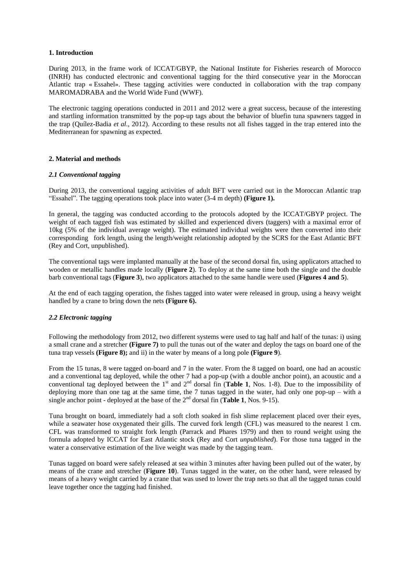### **1. Introduction**

During 2013, in the frame work of ICCAT/GBYP, the National Institute for Fisheries research of Morocco (INRH) has conducted electronic and conventional tagging for the third consecutive year in the Moroccan Atlantic trap « Essahel». These tagging activities were conducted in collaboration with the trap company MAROMADRABA and the World Wide Fund (WWF).

The electronic tagging operations conducted in 2011 and 2012 were a great success, because of the interesting and startling information transmitted by the pop-up tags about the behavior of bluefin tuna spawners tagged in the trap (Quílez-Badia *et al*., 2012). According to these results not all fishes tagged in the trap entered into the Mediterranean for spawning as expected.

# **2. Material and methods**

## *2.1 Conventional tagging*

During 2013, the conventional tagging activities of adult BFT were carried out in the Moroccan Atlantic trap "Essahel". The tagging operations took place into water (3-4 m depth) **(Figure 1).**

In general, the tagging was conducted according to the protocols adopted by the ICCAT/GBYP project. The weight of each tagged fish was estimated by skilled and experienced divers (taggers) with a maximal error of 10kg (5% of the individual average weight). The estimated individual weights were then converted into their corresponding fork length, using the length/weight relationship adopted by the SCRS for the East Atlantic BFT (Rey and Cort, unpublished).

The conventional tags were implanted manually at the base of the second dorsal fin, using applicators attached to wooden or metallic handles made locally (**Figure 2**). To deploy at the same time both the single and the double barb conventional tags (**Figure 3**), two applicators attached to the same handle were used (**Figures 4 and 5**).

At the end of each tagging operation, the fishes tagged into water were released in group, using a heavy weight handled by a crane to bring down the nets **(Figure 6).**

#### *2.2 Electronic tagging*

Following the methodology from 2012, two different systems were used to tag half and half of the tunas: i) using a small crane and a stretcher **(Figure 7)** to pull the tunas out of the water and deploy the tags on board one of the tuna trap vessels **(Figure 8);** and ii) in the water by means of a long pole **(Figure 9**).

From the 15 tunas, 8 were tagged on-board and 7 in the water. From the 8 tagged on board, one had an acoustic and a conventional tag deployed, while the other 7 had a pop-up (with a double anchor point), an acoustic and a conventional tag deployed between the 1<sup>st</sup> and 2<sup>nd</sup> dorsal fin (**Table 1**, Nos. 1-8). Due to the impossibility of deploying more than one tag at the same time, the 7 tunas tagged in the water, had only one pop-up – with a single anchor point - deployed at the base of the  $2<sup>nd</sup>$  dorsal fin (**Table 1**, Nos. 9-15).

Tuna brought on board, immediately had a soft cloth soaked in fish slime replacement placed over their eyes, while a seawater hose oxygenated their gills. The curved fork length (CFL) was measured to the nearest 1 cm. CFL was transformed to straight fork length (Parrack and Phares 1979) and then to round weight using the formula adopted by ICCAT for East Atlantic stock [\(Rey and Cort](#page-2-0) *unpublished*). For those tuna tagged in the water a conservative estimation of the live weight was made by the tagging team.

Tunas tagged on board were safely released at sea within 3 minutes after having been pulled out of the water, by means of the crane and stretcher (**Figure 10**). Tunas tagged in the water, on the other hand, were released by means of a heavy weight carried by a crane that was used to lower the trap nets so that all the tagged tunas could leave together once the tagging had finished.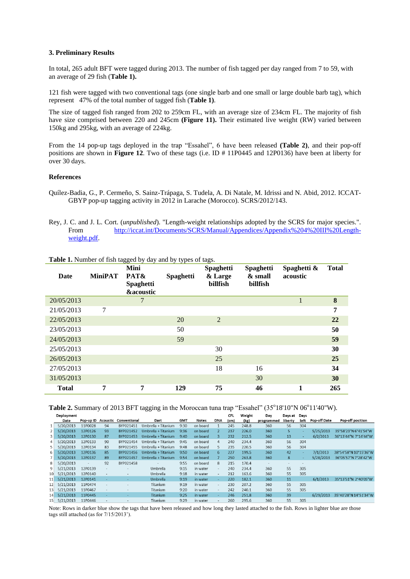### **3. Preliminary Results**

In total, 265 adult BFT were tagged during 2013. The number of fish tagged per day ranged from 7 to 59, with an average of 29 fish (**Table 1).**

121 fish were tagged with two conventional tags (one single barb and one small or large double barb tag), which represent 47% of the total number of tagged fish (**Table 1)**.

The size of tagged fish ranged from 202 to 259cm FL, with an average size of 234cm FL. The majority of fish have size comprised between 220 and 245cm **(Figure 11).** Their estimated live weight (RW) varied between 150kg and 295kg, with an average of 224kg.

From the 14 pop-up tags deployed in the trap "Essahel", 6 have been released **(Table 2)**, and their pop-off positions are shown in **Figure 12**. Two of these tags (i.e. ID # 11P0445 and 12P0136) have been at liberty for over 30 days.

## **References**

- Quílez-Badia, G., P. Cermeño, S. Sainz-Trápaga, S. Tudela, A. Di Natale, M. Idrissi and N. Abid, 2012. ICCAT-GBYP pop-up tagging activity in 2012 in Larache (Morocco). SCRS/2012/143.
- <span id="page-2-0"></span>Rey, J. C. and J. L. Cort. (*unpublished*). "Length-weight relationships adopted by the SCRS for major species.". From [http://iccat.int/Documents/SCRS/Manual/Appendices/Appendix%204%20III%20Length](http://iccat.int/Documents/SCRS/Manual/Appendices/Appendix%204%20III%20Length-weight.pdf)[weight.pdf.](http://iccat.int/Documents/SCRS/Manual/Appendices/Appendix%204%20III%20Length-weight.pdf)

| Date         | <b>MiniPAT</b> | <b>Mini</b><br>PAT&<br><b>Spaghetti</b><br><b>&amp;acoustic</b> | Spaghetti | <b>Spaghetti</b><br>& Large<br>billfish | <b>Spaghetti</b><br>& small<br>billfish | Spaghetti &<br>acoustic | <b>Total</b> |
|--------------|----------------|-----------------------------------------------------------------|-----------|-----------------------------------------|-----------------------------------------|-------------------------|--------------|
| 20/05/2013   |                | 7                                                               |           |                                         |                                         |                         | 8            |
| 21/05/2013   | 7              |                                                                 |           |                                         |                                         |                         | 7            |
| 22/05/2013   |                |                                                                 | 20        | 2                                       |                                         |                         | 22           |
| 23/05/2013   |                |                                                                 | 50        |                                         |                                         |                         | 50           |
| 24/05/2013   |                |                                                                 | 59        |                                         |                                         |                         | 59           |
| 25/05/2013   |                |                                                                 |           | 30                                      |                                         |                         | 30           |
| 26/05/2013   |                |                                                                 |           | 25                                      |                                         |                         | 25           |
| 27/05/2013   |                |                                                                 |           | 18                                      | 16                                      |                         | 34           |
| 31/05/2013   |                |                                                                 |           |                                         | 30                                      |                         | 30           |
| <b>Total</b> | 7              | 7                                                               | 129       | 75                                      | 46                                      | 1                       | 265          |

**Table 1.** Number of fish tagged by day and by types of tags.

Table 2. Summary of 2013 BFT tagging in the Moroccan tuna trap "Essahel" (35°18'10"N 06°11'40"W).

|    | Deployment |                    |                          |                          |                     |            |          |                          | <b>CFL</b> | Weight | Day        | Days at                  | Days |                     |                       |
|----|------------|--------------------|--------------------------|--------------------------|---------------------|------------|----------|--------------------------|------------|--------|------------|--------------------------|------|---------------------|-----------------------|
|    | Date       | Pop-up ID Acoustic |                          | Conventional             | Dart                | <b>GMT</b> | Notes    | <b>DNA</b>               | (cm)       | (kg)   | programmed | liberty                  | left | <b>Pop-off Date</b> | Pop-off position      |
|    | 5/20/2013  | 11P0028            | 94                       | BYP021451                | Umbrella + Titanium | 9:30       | on board |                          | 245        | 248.8  | 360        | 56                       | 304  |                     |                       |
|    | 5/20/2013  | 12P0126            | 93                       | BYP021452                | Umbrella + Titanium | 9:36       | on board |                          | 237        | 226.0  | 360        | ς                        |      | 5/25/2013           | 35°58'23"N 6°41'54"W  |
|    | 5/20/2013  | 12P0130            | 87                       | BYP021453                | Umbrella + Titanium | 9:40       | on board | 3                        | 232        | 212.5  | 360        | 13                       | ٠    | 6/2/2013            | 36°13'44"N 7°14'44"W  |
| 4  | 5/20/2013  | 12P0133            | 90                       | BYP021454                | Umbrella + Titanium | 9:45       | on board | 4                        | 240        | 234.4  | 360        | 56                       | 304  |                     |                       |
|    | 5/20/2013  | 12P0134            | 83                       | BYP021455                | Umbrella + Titanium | 9:48       | on board | 5                        | 235        | 220.5  | 360        | 56                       | 304  |                     |                       |
| 6  | 5/20/2013  | 12P0136            | 85                       | BYP021456                | Umbrella + Titanium | 9:50       | on board | 6.                       | 227        | 199.5  | 360        | 42                       |      | 7/1/2013            | 38°54'58"N 10°15'36"W |
|    | 5/20/2013  | 12P0137            | 89                       | BYP021457                | Umbrella + Titanium | 9:54       | on board |                          | 250        | 263.8  | 360        | 8                        |      | 5/28/2013           | 36°05'57"N 7°28'42"W  |
| 8  | 5/20/2013  |                    | 92                       | BYP021458                |                     | 9:55       | on board | 8                        | 215        | 170.4  |            | $\overline{\phantom{a}}$ |      |                     |                       |
| 9  | 5/21/2013  | 12P0139            | $\overline{\phantom{a}}$ |                          | Umbrella            | 9:15       | in water |                          | 240        | 234.4  | 360        | 55                       | 305  |                     |                       |
| 10 | 5/21/2013  | 12P0140            | ۰                        | $\overline{a}$           | Umbrella            | 9:18       | in water | $\sim$                   | 212        | 163.6  | 360        | 55                       | 305  |                     |                       |
| 11 | 5/21/2013  | 12P0141            |                          | $\overline{\phantom{a}}$ | Umbrella            | 9:19       | in water |                          | 220        | 182.1  | 360        | 11                       |      | 6/1/2013            | 35°13'51"N 2°40'05"W  |
|    | 5/21/2013  | 11P0474            | ٠                        | $\overline{\phantom{a}}$ | Titanium            | 9:19       | in water | $\sim$                   | 230        | 207.2  | 360        | 55                       | 305  |                     |                       |
| 13 | 5/21/2013  | 11P0467            | $\overline{\phantom{a}}$ | $\overline{\phantom{a}}$ | Titanium            | 9:20       | in water | $\overline{\phantom{0}}$ | 242        | 240.1  | 360        | 55                       | 305  |                     |                       |
| 14 | 5/21/2013  | 11P0445            | ۰                        | ۰                        | Titanium            | 9:25       | in water |                          | 246        | 251.8  | 360        | 39                       |      | 6/29/2013           | 35°40'28"N 14°51'34"W |
| 15 | 5/21/2013  | 11P0446            |                          |                          | Titanium            | 9:29       | in water | $\overline{\phantom{a}}$ | 260        | 295.6  | 360        | 55                       | 305  |                     |                       |

Note: Rows in darker blue show the tags that have been released and how long they lasted attached to the fish. Rows in lighter blue are those tags still attached (as for 7/15/2013').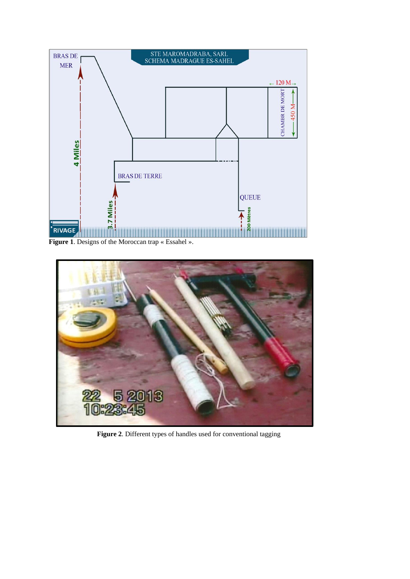

**Figure 1**. Designs of the Moroccan trap « Essahel ».



 **Figure 2**. Different types of handles used for conventional tagging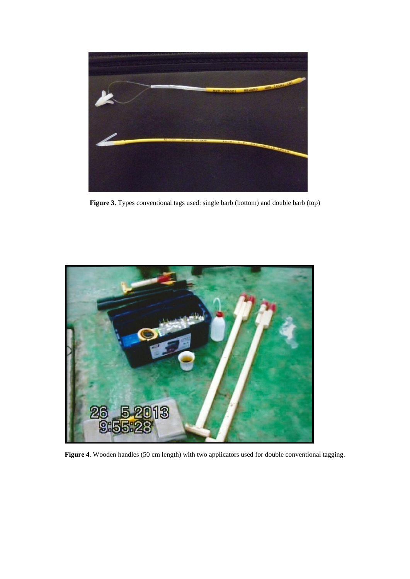

Figure 3. Types conventional tags used: single barb (bottom) and double barb (top)



**Figure 4**. Wooden handles (50 cm length) with two applicators used for double conventional tagging.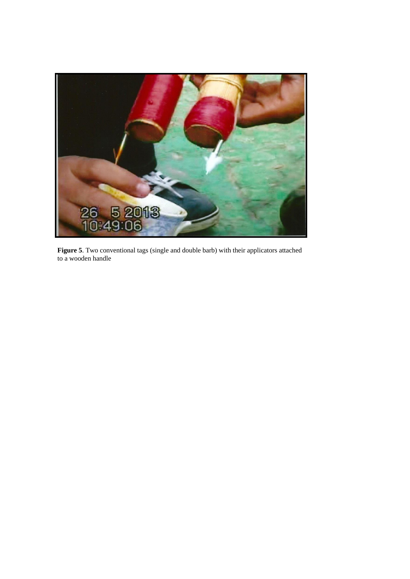

**Figure 5**. Two conventional tags (single and double barb) with their applicators attached to a wooden handle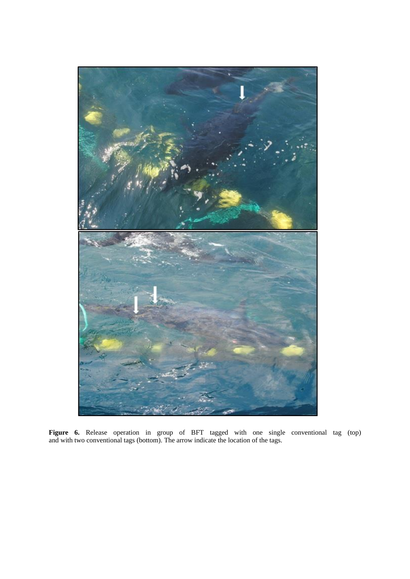

**Figure 6.** Release operation in group of BFT tagged with one single conventional tag (top) and with two conventional tags (bottom). The arrow indicate the location of the tags.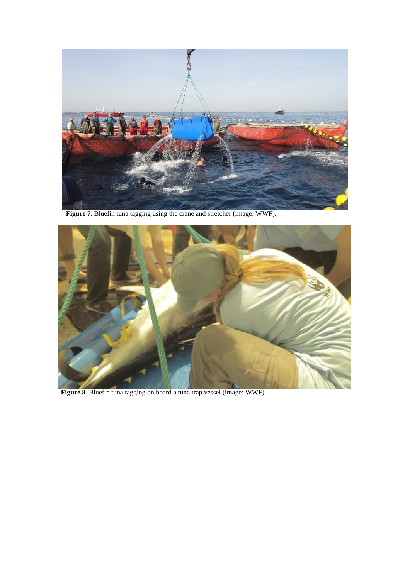

**Figure 7.** Bluefin tuna tagging using the crane and stretcher (image: WWF).



 **Figure 8**. Bluefin tuna tagging on board a tuna trap vessel (image: WWF).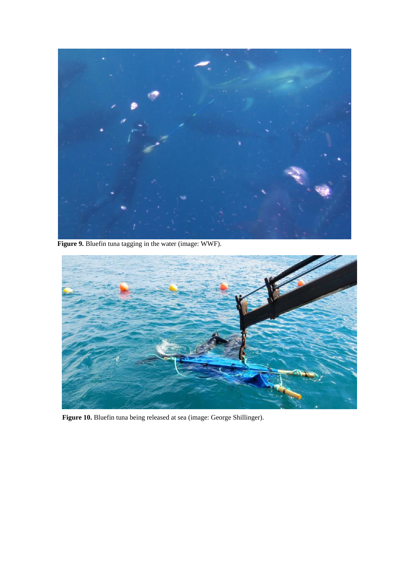

**Figure 9.** Bluefin tuna tagging in the water (image: WWF).



**Figure 10.** Bluefin tuna being released at sea (image: George Shillinger).